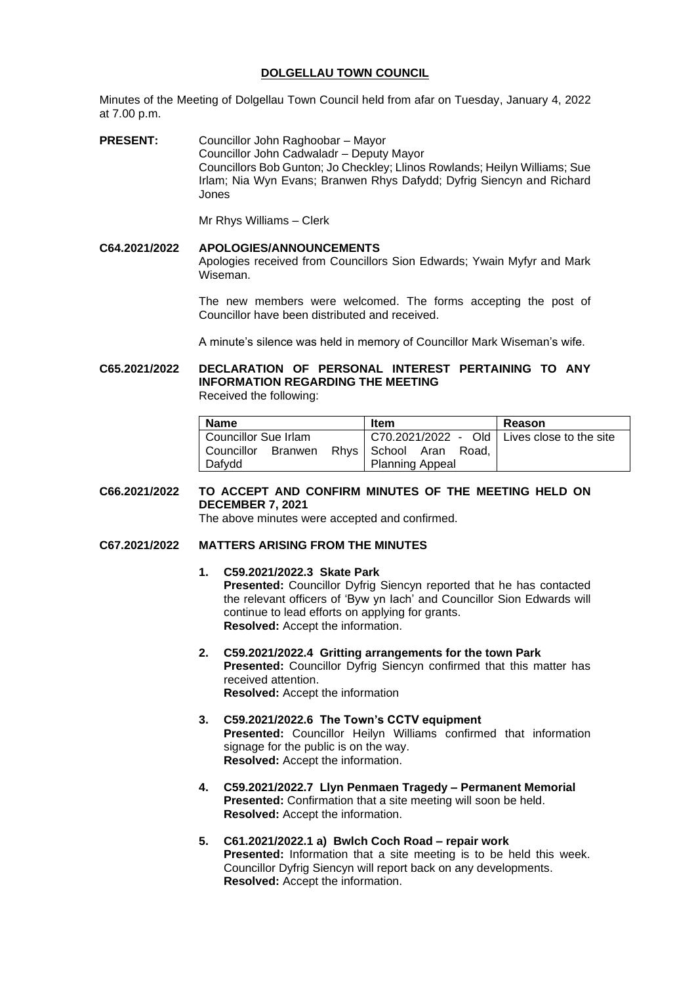## **DOLGELLAU TOWN COUNCIL**

Minutes of the Meeting of Dolgellau Town Council held from afar on Tuesday, January 4, 2022 at 7.00 p.m.

**PRESENT:** Councillor John Raghoobar – Mayor Councillor John Cadwaladr – Deputy Mayor Councillors Bob Gunton; Jo Checkley; Llinos Rowlands; Heilyn Williams; Sue Irlam; Nia Wyn Evans; Branwen Rhys Dafydd; Dyfrig Siencyn and Richard Jones

Mr Rhys Williams – Clerk

# **C64.2021/2022 APOLOGIES/ANNOUNCEMENTS** Apologies received from Councillors Sion Edwards; Ywain Myfyr and Mark Wiseman.

The new members were welcomed. The forms accepting the post of Councillor have been distributed and received.

A minute's silence was held in memory of Councillor Mark Wiseman's wife.

**C65.2021/2022 DECLARATION OF PERSONAL INTEREST PERTAINING TO ANY INFORMATION REGARDING THE MEETING** Received the following:

| <b>Name</b>             | <b>Item</b>                                   | Reason |
|-------------------------|-----------------------------------------------|--------|
| Councillor Sue Irlam    | C70.2021/2022 - Old   Lives close to the site |        |
| l Councillor<br>Branwen | Rhys School Aran<br>Road.                     |        |
| Dafydd                  | <b>Planning Appeal</b>                        |        |

**C66.2021/2022 TO ACCEPT AND CONFIRM MINUTES OF THE MEETING HELD ON DECEMBER 7, 2021**

The above minutes were accepted and confirmed.

# **C67.2021/2022 MATTERS ARISING FROM THE MINUTES**

- **1. C59.2021/2022.3 Skate Park Presented:** Councillor Dyfrig Siencyn reported that he has contacted the relevant officers of 'Byw yn Iach' and Councillor Sion Edwards will continue to lead efforts on applying for grants. **Resolved:** Accept the information.
- **2. C59.2021/2022.4 Gritting arrangements for the town Park Presented:** Councillor Dyfrig Siencyn confirmed that this matter has received attention. **Resolved:** Accept the information
- **3. C59.2021/2022.6 The Town's CCTV equipment Presented:** Councillor Heilyn Williams confirmed that information signage for the public is on the way. **Resolved:** Accept the information.
- **4. C59.2021/2022.7 Llyn Penmaen Tragedy – Permanent Memorial Presented:** Confirmation that a site meeting will soon be held. **Resolved:** Accept the information.
- **5. C61.2021/2022.1 a) Bwlch Coch Road – repair work Presented:** Information that a site meeting is to be held this week. Councillor Dyfrig Siencyn will report back on any developments. **Resolved:** Accept the information.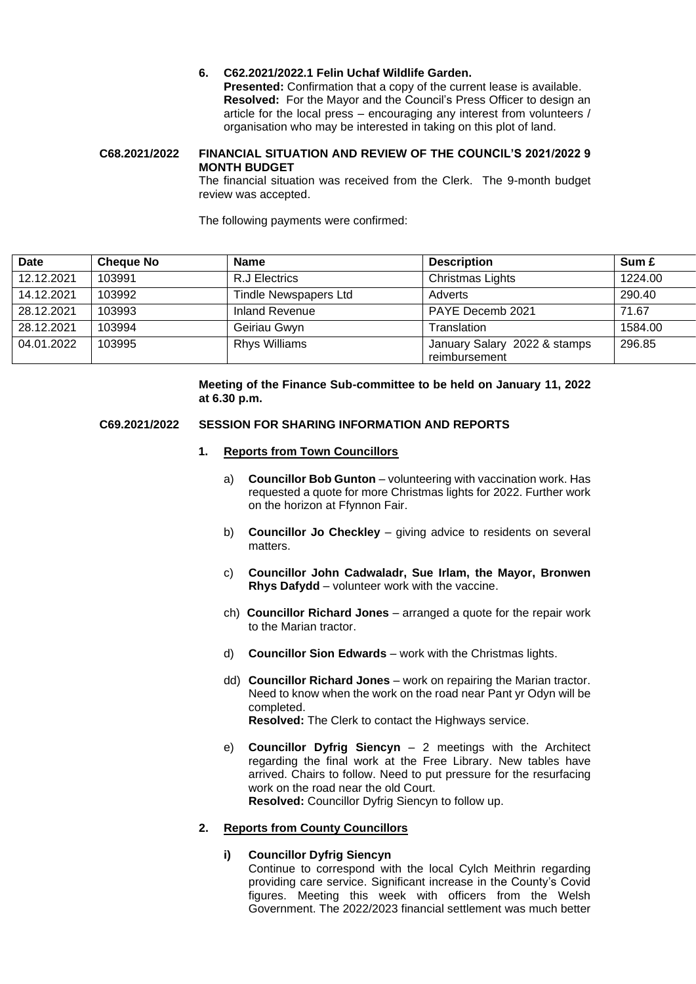# **6. C62.2021/2022.1 Felin Uchaf Wildlife Garden.**

**Presented:** Confirmation that a copy of the current lease is available. **Resolved:** For the Mayor and the Council's Press Officer to design an article for the local press – encouraging any interest from volunteers / organisation who may be interested in taking on this plot of land.

### **C68.2021/2022 FINANCIAL SITUATION AND REVIEW OF THE COUNCIL'S 2021/2022 9 MONTH BUDGET**

The financial situation was received from the Clerk. The 9-month budget review was accepted.

The following payments were confirmed:

| Date       | <b>Cheque No</b> | <b>Name</b>           | <b>Description</b>                            | Sum £   |
|------------|------------------|-----------------------|-----------------------------------------------|---------|
| 12.12.2021 | 103991           | R.J Electrics         | Christmas Lights                              | 1224.00 |
| 14.12.2021 | 103992           | Tindle Newspapers Ltd | Adverts                                       | 290.40  |
| 28.12.2021 | 103993           | Inland Revenue        | PAYE Decemb 2021                              | 71.67   |
| 28.12.2021 | 103994           | Geiriau Gwyn          | Translation                                   | 1584.00 |
| 04.01.2022 | 103995           | <b>Rhys Williams</b>  | January Salary 2022 & stamps<br>reimbursement | 296.85  |

### **Meeting of the Finance Sub-committee to be held on January 11, 2022 at 6.30 p.m.**

### **C69.2021/2022 SESSION FOR SHARING INFORMATION AND REPORTS**

### **1. Reports from Town Councillors**

- a) **Councillor Bob Gunton** volunteering with vaccination work. Has requested a quote for more Christmas lights for 2022. Further work on the horizon at Ffynnon Fair.
- b) **Councillor Jo Checkley** giving advice to residents on several matters.
- c) **Councillor John Cadwaladr, Sue Irlam, the Mayor, Bronwen Rhys Dafydd** – volunteer work with the vaccine.
- ch) **Councillor Richard Jones** arranged a quote for the repair work to the Marian tractor.
- d) **Councillor Sion Edwards** work with the Christmas lights.
- dd) **Councillor Richard Jones** work on repairing the Marian tractor. Need to know when the work on the road near Pant yr Odyn will be completed. **Resolved:** The Clerk to contact the Highways service.
- e) **Councillor Dyfrig Siencyn** 2 meetings with the Architect regarding the final work at the Free Library. New tables have arrived. Chairs to follow. Need to put pressure for the resurfacing work on the road near the old Court. **Resolved:** Councillor Dyfrig Siencyn to follow up.

### **2. Reports from County Councillors**

#### **i) Councillor Dyfrig Siencyn**

Continue to correspond with the local Cylch Meithrin regarding providing care service. Significant increase in the County's Covid figures. Meeting this week with officers from the Welsh Government. The 2022/2023 financial settlement was much better